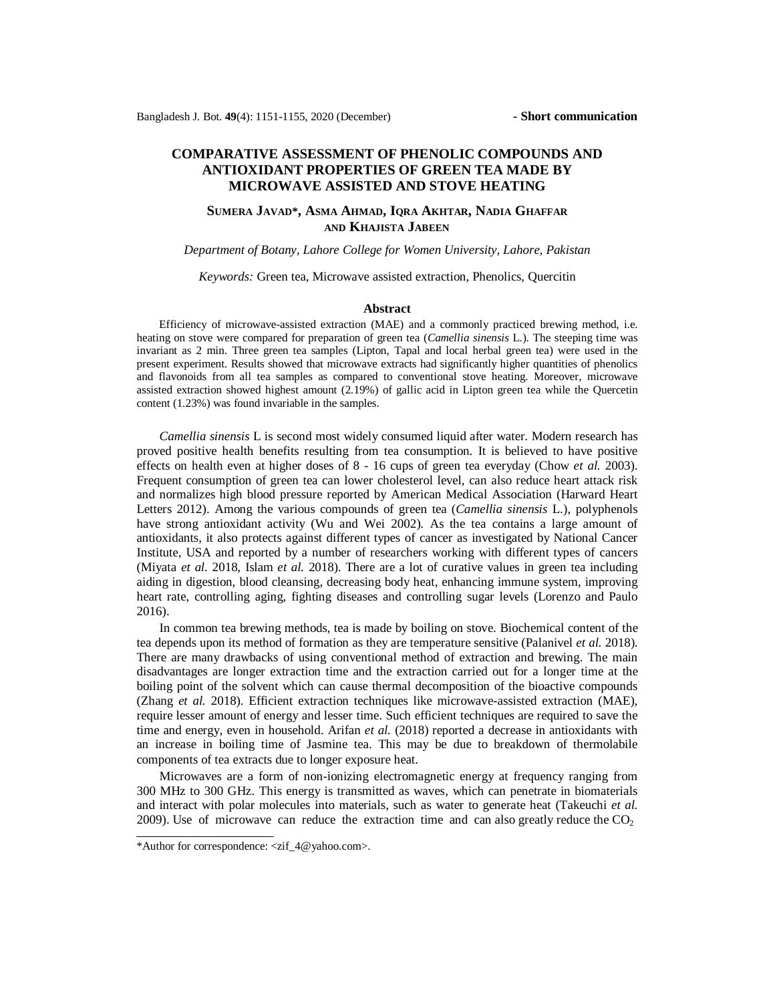# **COMPARATIVE ASSESSMENT OF PHENOLIC COMPOUNDS AND ANTIOXIDANT PROPERTIES OF GREEN TEA MADE BY MICROWAVE ASSISTED AND STOVE HEATING**

## **SUMERA JAVAD\*, ASMA AHMAD, IQRA AKHTAR, NADIA GHAFFAR AND KHAJISTA JABEEN**

### *Department of Botany, Lahore College for Women University, Lahore, Pakistan*

*Keywords:* Green tea, Microwave assisted extraction, Phenolics, Quercitin

#### **Abstract**

 Efficiency of microwave-assisted extraction (MAE) and a commonly practiced brewing method, i.e. heating on stove were compared for preparation of green tea (*Camellia sinensis* L.). The steeping time was invariant as 2 min. Three green tea samples (Lipton, Tapal and local herbal green tea) were used in the present experiment. Results showed that microwave extracts had significantly higher quantities of phenolics and flavonoids from all tea samples as compared to conventional stove heating. Moreover, microwave assisted extraction showed highest amount (2.19%) of gallic acid in Lipton green tea while the Quercetin content (1.23%) was found invariable in the samples.

*Camellia sinensis* L is second most widely consumed liquid after water. Modern research has proved positive health benefits resulting from tea consumption. It is believed to have positive effects on health even at higher doses of 8 - 16 cups of green tea everyday (Chow *et al.* 2003). Frequent consumption of green tea can lower cholesterol level, can also reduce heart attack risk and normalizes high blood pressure reported by American Medical Association (Harward Heart Letters 2012). Among the various compounds of green tea (*Camellia sinensis* L.), polyphenols have strong antioxidant activity (Wu and Wei 2002). As the tea contains a large amount of antioxidants, it also protects against different types of cancer as investigated by National Cancer Institute, USA and reported by a number of researchers working with different types of cancers (Miyata *et al.* 2018, Islam *et al.* 2018). There are a lot of curative values in green tea including aiding in digestion, blood cleansing, decreasing body heat, enhancing immune system, improving heart rate, controlling aging, fighting diseases and controlling sugar levels (Lorenzo and Paulo 2016).

In common tea brewing methods, tea is made by boiling on stove. Biochemical content of the tea depends upon its method of formation as they are temperature sensitive (Palanivel *et al.* 2018). There are many drawbacks of using conventional method of extraction and brewing. The main disadvantages are longer extraction time and the extraction carried out for a longer time at the boiling point of the solvent which can cause thermal decomposition of the bioactive compounds (Zhang *et al.* 2018). Efficient extraction techniques like microwave-assisted extraction (MAE), require lesser amount of energy and lesser time. Such efficient techniques are required to save the time and energy, even in household. Arifan *et al.* (2018) reported a decrease in antioxidants with an increase in boiling time of Jasmine tea. This may be due to breakdown of thermolabile components of tea extracts due to longer exposure heat.

Microwaves are a form of non-ionizing electromagnetic energy at frequency ranging from 300 MHz to 300 GHz. This energy is transmitted as waves, which can penetrate in biomaterials and interact with polar molecules into materials, such as water to generate heat (Takeuchi *et al.* 2009). Use of microwave can reduce the extraction time and can also greatly reduce the  $CO<sub>2</sub>$ 

<sup>\*</sup>Author for correspondence: [<zif\\_4@yahoo.com>](mailto:zif_4@yahoo.com).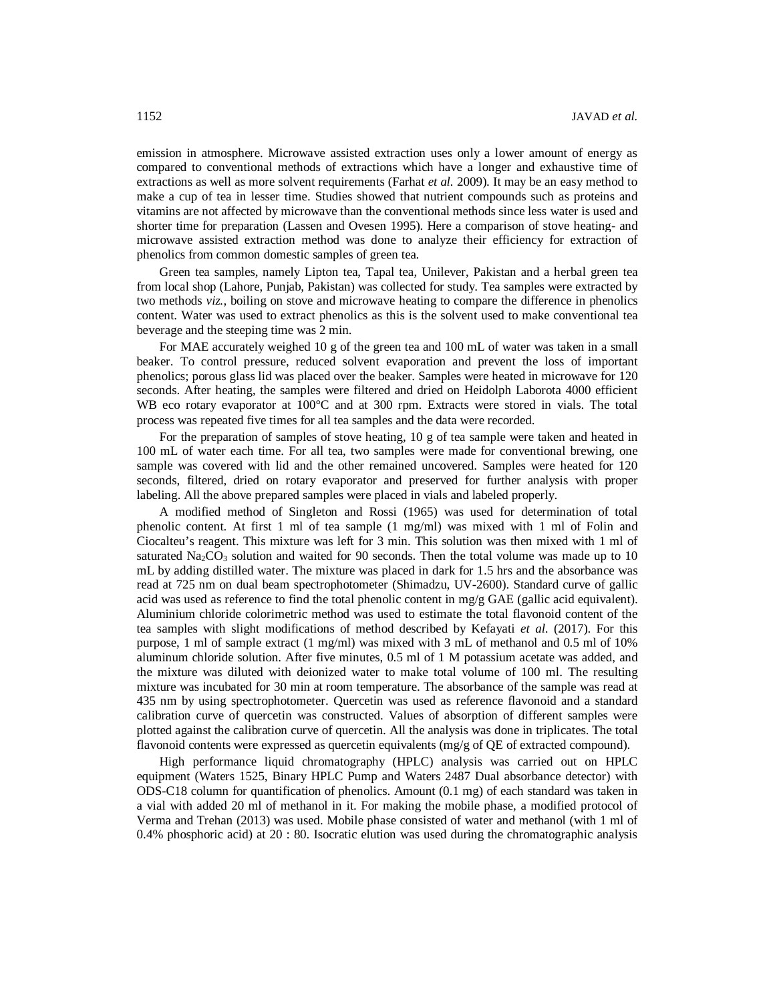emission in atmosphere. Microwave assisted extraction uses only a lower amount of energy as compared to conventional methods of extractions which have a longer and exhaustive time of extractions as well as more solvent requirements (Farhat *et al.* 2009). It may be an easy method to make a cup of tea in lesser time. Studies showed that nutrient compounds such as proteins and vitamins are not affected by microwave than the conventional methods since less water is used and shorter time for preparation (Lassen and Ovesen 1995). Here a comparison of stove heating- and microwave assisted extraction method was done to analyze their efficiency for extraction of phenolics from common domestic samples of green tea.

Green tea samples, namely Lipton tea, Tapal tea, Unilever, Pakistan and a herbal green tea from local shop (Lahore, Punjab, Pakistan) was collected for study. Tea samples were extracted by two methods *viz.,* boiling on stove and microwave heating to compare the difference in phenolics content. Water was used to extract phenolics as this is the solvent used to make conventional tea beverage and the steeping time was 2 min.

For MAE accurately weighed 10 g of the green tea and 100 mL of water was taken in a small beaker. To control pressure, reduced solvent evaporation and prevent the loss of important phenolics; porous glass lid was placed over the beaker. Samples were heated in microwave for 120 seconds. After heating, the samples were filtered and dried on Heidolph Laborota 4000 efficient WB eco rotary evaporator at 100°C and at 300 rpm. Extracts were stored in vials. The total process was repeated five times for all tea samples and the data were recorded.

For the preparation of samples of stove heating, 10 g of tea sample were taken and heated in 100 mL of water each time. For all tea, two samples were made for conventional brewing, one sample was covered with lid and the other remained uncovered. Samples were heated for 120 seconds, filtered, dried on rotary evaporator and preserved for further analysis with proper labeling. All the above prepared samples were placed in vials and labeled properly.

A modified method of Singleton and Rossi (1965) was used for determination of total phenolic content. At first 1 ml of tea sample (1 mg/ml) was mixed with 1 ml of Folin and Ciocalteu's reagent. This mixture was left for 3 min. This solution was then mixed with 1 ml of saturated  $\text{Na}_2\text{CO}_3$  solution and waited for 90 seconds. Then the total volume was made up to 10 mL by adding distilled water. The mixture was placed in dark for 1.5 hrs and the absorbance was read at 725 nm on dual beam spectrophotometer (Shimadzu, UV-2600). Standard curve of gallic acid was used as reference to find the total phenolic content in mg/g GAE (gallic acid equivalent). Aluminium chloride colorimetric method was used to estimate the total flavonoid content of the tea samples with slight modifications of method described by Kefayati *et al*. (2017). For this purpose, 1 ml of sample extract (1 mg/ml) was mixed with 3 mL of methanol and 0.5 ml of 10% aluminum chloride solution. After five minutes, 0.5 ml of 1 M potassium acetate was added, and the mixture was diluted with deionized water to make total volume of 100 ml. The resulting mixture was incubated for 30 min at room temperature. The absorbance of the sample was read at 435 nm by using spectrophotometer. Quercetin was used as reference flavonoid and a standard calibration curve of quercetin was constructed. Values of absorption of different samples were plotted against the calibration curve of quercetin. All the analysis was done in triplicates. The total flavonoid contents were expressed as quercetin equivalents (mg/g of QE of extracted compound).

High performance liquid chromatography (HPLC) analysis was carried out on HPLC equipment (Waters 1525, Binary HPLC Pump and Waters 2487 Dual absorbance detector) with ODS-C18 column for quantification of phenolics. Amount (0.1 mg) of each standard was taken in a vial with added 20 ml of methanol in it. For making the mobile phase, a modified protocol of Verma and Trehan (2013) was used. Mobile phase consisted of water and methanol (with 1 ml of 0.4% phosphoric acid) at 20 : 80. Isocratic elution was used during the chromatographic analysis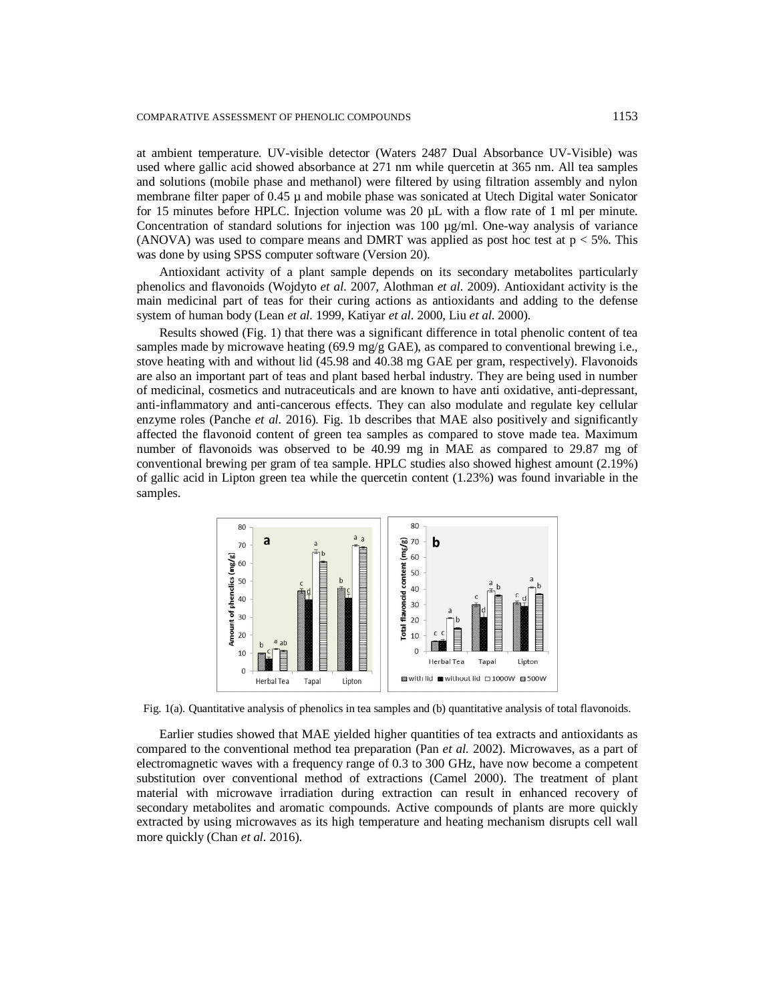at ambient temperature. UV-visible detector (Waters 2487 Dual Absorbance UV-Visible) was used where gallic acid showed absorbance at 271 nm while quercetin at 365 nm. All tea samples and solutions (mobile phase and methanol) were filtered by using filtration assembly and nylon membrane filter paper of 0.45  $\mu$  and mobile phase was sonicated at Utech Digital water Sonicator for 15 minutes before HPLC. Injection volume was 20  $\mu$ L with a flow rate of 1 ml per minute. Concentration of standard solutions for injection was 100 µg/ml. One-way analysis of variance (ANOVA) was used to compare means and DMRT was applied as post hoc test at  $p < 5\%$ . This was done by using SPSS computer software (Version 20).

Antioxidant activity of a plant sample depends on its secondary metabolites particularly phenolics and flavonoids (Wojdyto *et al.* 2007, Alothman *et al.* 2009). Antioxidant activity is the main medicinal part of teas for their curing actions as antioxidants and adding to the defense system of human body (Lean *et al.* 1999, Katiyar *et al.* 2000, Liu *et al*. 2000).

Results showed (Fig. 1) that there was a significant difference in total phenolic content of tea samples made by microwave heating (69.9 mg/g GAE), as compared to conventional brewing i.e., stove heating with and without lid (45.98 and 40.38 mg GAE per gram, respectively). Flavonoids are also an important part of teas and plant based herbal industry. They are being used in number of medicinal, cosmetics and nutraceuticals and are known to have anti oxidative, anti-depressant, anti-inflammatory and anti-cancerous effects. They can also modulate and regulate key cellular enzyme roles (Panche *et al.* 2016). Fig. 1b describes that MAE also positively and significantly affected the flavonoid content of green tea samples as compared to stove made tea. Maximum number of flavonoids was observed to be 40.99 mg in MAE as compared to 29.87 mg of conventional brewing per gram of tea sample. HPLC studies also showed highest amount (2.19%) of gallic acid in Lipton green tea while the quercetin content (1.23%) was found invariable in the samples.



Fig. 1(a). Quantitative analysis of phenolics in tea samples and (b) quantitative analysis of total flavonoids.

Earlier studies showed that MAE yielded higher quantities of tea extracts and antioxidants as compared to the conventional method tea preparation (Pan *et al.* 2002). Microwaves, as a part of electromagnetic waves with a frequency range of 0.3 to 300 GHz, have now become a competent substitution over conventional method of extractions (Camel 2000). The treatment of plant material with microwave irradiation during extraction can result in enhanced recovery of secondary metabolites and aromatic compounds. Active compounds of plants are more quickly extracted by using microwaves as its high temperature and heating mechanism disrupts cell wall more quickly (Chan *et al.* 2016).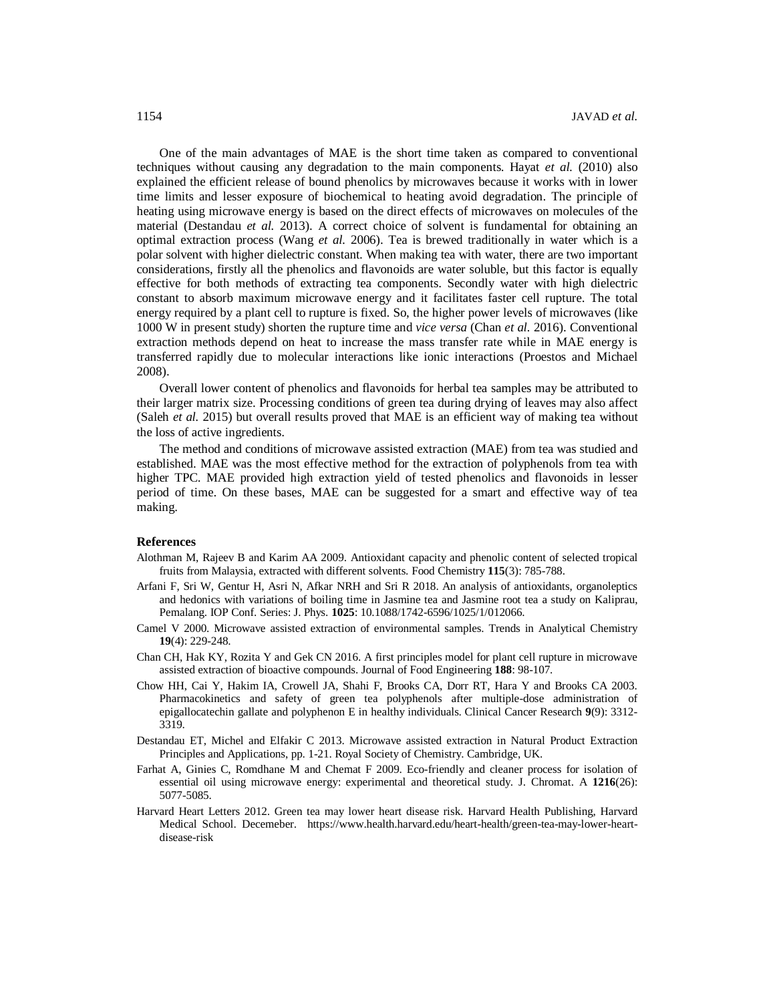One of the main advantages of MAE is the short time taken as compared to conventional techniques without causing any degradation to the main components. Hayat *et al.* (2010) also explained the efficient release of bound phenolics by microwaves because it works with in lower time limits and lesser exposure of biochemical to heating avoid degradation. The principle of heating using microwave energy is based on the direct effects of microwaves on molecules of the material (Destandau *et al.* 2013). A correct choice of solvent is fundamental for obtaining an optimal extraction process (Wang *et al.* 2006). Tea is brewed traditionally in water which is a polar solvent with higher dielectric constant. When making tea with water, there are two important considerations, firstly all the phenolics and flavonoids are water soluble, but this factor is equally effective for both methods of extracting tea components. Secondly water with high dielectric constant to absorb maximum microwave energy and it facilitates faster cell rupture. The total energy required by a plant cell to rupture is fixed. So, the higher power levels of microwaves (like 1000 W in present study) shorten the rupture time and *vice versa* (Chan *et al.* 2016). Conventional extraction methods depend on heat to increase the mass transfer rate while in MAE energy is transferred rapidly due to molecular interactions like ionic interactions (Proestos and Michael 2008).

Overall lower content of phenolics and flavonoids for herbal tea samples may be attributed to their larger matrix size. Processing conditions of green tea during drying of leaves may also affect (Saleh *et al.* 2015) but overall results proved that MAE is an efficient way of making tea without the loss of active ingredients.

The method and conditions of microwave assisted extraction (MAE) from tea was studied and established. MAE was the most effective method for the extraction of polyphenols from tea with higher TPC. MAE provided high extraction yield of tested phenolics and flavonoids in lesser period of time. On these bases, MAE can be suggested for a smart and effective way of tea making.

## **References**

- Alothman M, Rajeev B and Karim AA 2009. Antioxidant capacity and phenolic content of selected tropical fruits from Malaysia, extracted with different solvents. Food Chemistry **115**(3): 785-788.
- Arfani F, Sri W, Gentur H, Asri N, Afkar NRH and Sri R 2018. An analysis of antioxidants, organoleptics and hedonics with variations of boiling time in Jasmine tea and Jasmine root tea a study on Kaliprau, Pemalang. IOP Conf. Series: J. Phys. **1025**: 10.1088/1742-6596/1025/1/012066.
- Camel V 2000. Microwave assisted extraction of environmental samples. Trends in Analytical Chemistry **19**(4): 229-248.
- Chan CH, Hak KY, Rozita Y and Gek CN 2016. A first principles model for plant cell rupture in microwave assisted extraction of bioactive compounds. Journal of Food Engineering **188**: 98-107.
- Chow HH, Cai Y, Hakim IA, Crowell JA, Shahi F, Brooks CA, Dorr RT, Hara Y and Brooks CA 2003. Pharmacokinetics and safety of green tea polyphenols after multiple-dose administration of epigallocatechin gallate and polyphenon E in healthy individuals. Clinical Cancer Research **9**(9): 3312- 3319.
- Destandau ET, Michel and Elfakir C 2013. Microwave assisted extraction in Natural Product Extraction Principles and Applications, pp. 1-21. Royal Society of Chemistry. Cambridge, UK.
- Farhat A, Ginies C, Romdhane M and Chemat F 2009. Eco-friendly and cleaner process for isolation of essential oil using microwave energy: experimental and theoretical study. J. Chromat. A **1216**(26): 5077-5085.
- Harvard Heart Letters 2012. Green tea may lower heart disease risk. Harvard Health Publishing, Harvard Medical School. Decemeber. [https://www.health.harvard.edu/heart-health/green-tea-may-lower-heart](https://www.health.harvard.edu/heart-health/green-tea-may-lower-heart-)disease-risk